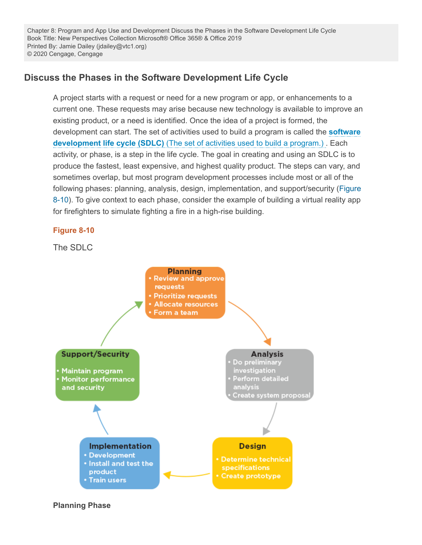Chapter 8: Program and App Use and Development Discuss the Phases in the Software Development Life Cycle Book Title: New Perspectives Collection Microsoft® Office 365® & Office 2019 Printed By: Jamie Dailey (jdailey@vtc1.org) © 2020 Cengage, Cengage

# **Discuss the Phases in the Software Development Life Cycle**

A project starts with a request or need for a new program or app, or enhancements to a current one. These requests may arise because new technology is available to improve an existing product, or a need is identified. Once the idea of a project is formed, the [development can start. The set of activities used to build a program is called the](javascript://) **software development life cycle (SDLC)** (The set of activities used to build a program.) . Each activity, or phase, is a step in the life cycle. The goal in creating and using an SDLC is to produce the fastest, least expensive, and highest quality product. The steps can vary, and sometimes overlap, but most program development processes include most or all of the [following phases: planning, analysis, design, implementation, and support/security \(Figure](javascript://) 8-10). To give context to each phase, consider the example of building a virtual reality app for firefighters to simulate fighting a fire in a high-rise building.

#### **Figure 8-10**

The SDLC

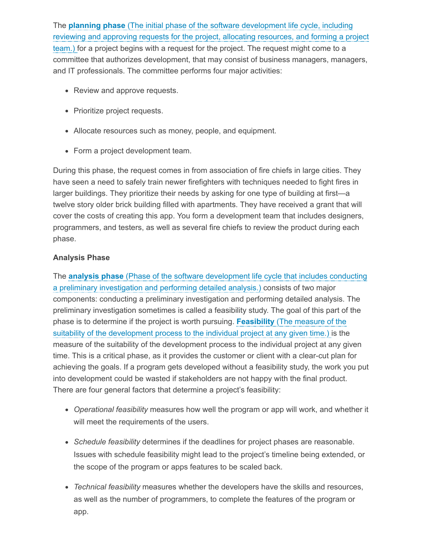The **planning phase** (The initial phase of the software development life cycle, including [reviewing and approving requests for the project, allocating resources, and forming a project](javascript://) team.) for a project begins with a request for the project. The request might come to a committee that authorizes development, that may consist of business managers, managers, and IT professionals. The committee performs four major activities:

- Review and approve requests.
- Prioritize project requests.
- Allocate resources such as money, people, and equipment.
- Form a project development team.

During this phase, the request comes in from association of fire chiefs in large cities. They have seen a need to safely train newer firefighters with techniques needed to fight fires in larger buildings. They prioritize their needs by asking for one type of building at first—a twelve story older brick building filled with apartments. They have received a grant that will cover the costs of creating this app. You form a development team that includes designers, programmers, and testers, as well as several fire chiefs to review the product during each phase.

## **Analysis Phase**

The **analysis phase** (Phase of the software development life cycle that includes conducting [a preliminary investigation and performing detailed analysis.\) consists of two major](javascript://) components: conducting a preliminary investigation and performing detailed analysis. The preliminary investigation sometimes is called a feasibility study. The goal of this part of the phase is to determine if the project is worth pursuing. **Feasibility** (The measure of the [suitability of the development process to the individual project at any given time.\) is the](javascript://) measure of the suitability of the development process to the individual project at any given time. This is a critical phase, as it provides the customer or client with a clear-cut plan for achieving the goals. If a program gets developed without a feasibility study, the work you put into development could be wasted if stakeholders are not happy with the final product. There are four general factors that determine a project's feasibility:

- *Operational feasibility* measures how well the program or app will work, and whether it will meet the requirements of the users.
- *Schedule feasibility* determines if the deadlines for project phases are reasonable. Issues with schedule feasibility might lead to the project's timeline being extended, or the scope of the program or apps features to be scaled back.
- *Technical feasibility* measures whether the developers have the skills and resources, as well as the number of programmers, to complete the features of the program or app.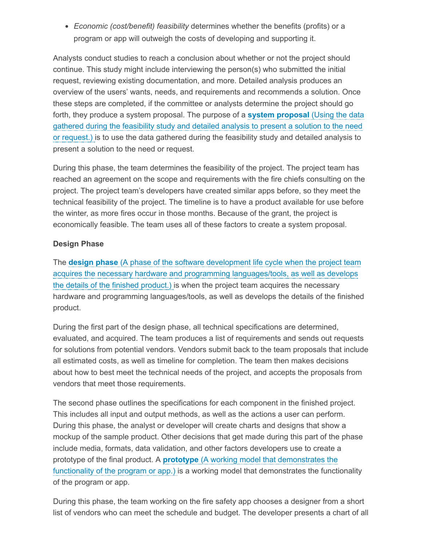*Economic (cost/benefit) feasibility* determines whether the benefits (profits) or a program or app will outweigh the costs of developing and supporting it.

Analysts conduct studies to reach a conclusion about whether or not the project should continue. This study might include interviewing the person(s) who submitted the initial request, reviewing existing documentation, and more. Detailed analysis produces an overview of the users' wants, needs, and requirements and recommends a solution. Once these steps are completed, if the committee or analysts determine the project should go forth, they produce a system proposal. The purpose of a **system proposal** (Using the data [gathered during the feasibility study and detailed analysis to present a solution to the need](javascript://) or request.) is to use the data gathered during the feasibility study and detailed analysis to present a solution to the need or request.

During this phase, the team determines the feasibility of the project. The project team has reached an agreement on the scope and requirements with the fire chiefs consulting on the project. The project team's developers have created similar apps before, so they meet the technical feasibility of the project. The timeline is to have a product available for use before the winter, as more fires occur in those months. Because of the grant, the project is economically feasible. The team uses all of these factors to create a system proposal.

### **Design Phase**

The **design phase** (A phase of the software development life cycle when the project team [acquires the necessary hardware and programming languages/tools, as well as develops](javascript://) the details of the finished product.) is when the project team acquires the necessary hardware and programming languages/tools, as well as develops the details of the finished product.

During the first part of the design phase, all technical specifications are determined, evaluated, and acquired. The team produces a list of requirements and sends out requests for solutions from potential vendors. Vendors submit back to the team proposals that include all estimated costs, as well as timeline for completion. The team then makes decisions about how to best meet the technical needs of the project, and accepts the proposals from vendors that meet those requirements.

The second phase outlines the specifications for each component in the finished project. This includes all input and output methods, as well as the actions a user can perform. During this phase, the analyst or developer will create charts and designs that show a mockup of the sample product. Other decisions that get made during this part of the phase include media, formats, data validation, and other factors developers use to create a prototype of the final product. A **prototype** (A working model that demonstrates the [functionality of the program or app.\) is a working model that demonstrates the funct](javascript://)ionality of the program or app.

During this phase, the team working on the fire safety app chooses a designer from a short list of vendors who can meet the schedule and budget. The developer presents a chart of all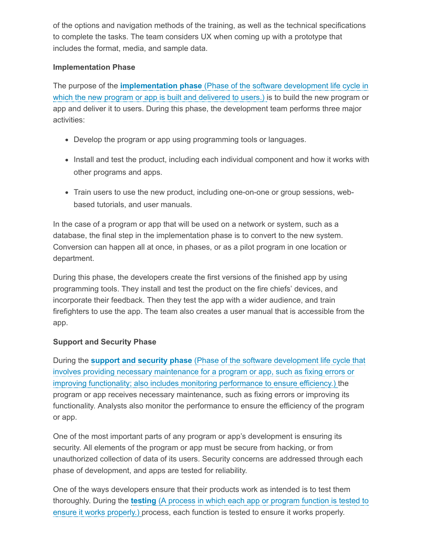of the options and navigation methods of the training, as well as the technical specifications to complete the tasks. The team considers UX when coming up with a prototype that includes the format, media, and sample data.

## **Implementation Phase**

The purpose of the **implementation phase** (Phase of the software development life cycle in [which the new program or app is built and delivered to users.\) is to build the new program or](javascript://) app and deliver it to users. During this phase, the development team performs three major activities:

- Develop the program or app using programming tools or languages.
- Install and test the product, including each individual component and how it works with other programs and apps.
- Train users to use the new product, including one-on-one or group sessions, webbased tutorials, and user manuals.

In the case of a program or app that will be used on a network or system, such as a database, the final step in the implementation phase is to convert to the new system. Conversion can happen all at once, in phases, or as a pilot program in one location or department.

During this phase, the developers create the first versions of the finished app by using programming tools. They install and test the product on the fire chiefs' devices, and incorporate their feedback. Then they test the app with a wider audience, and train firefighters to use the app. The team also creates a user manual that is accessible from the app.

## **Support and Security Phase**

During the **support and security phase** (Phase of the software development life cycle that [involves providing necessary maintenance for a program or app, such as fixing errors or](javascript://) improving functionality; also includes monitoring performance to ensure efficiency.) the program or app receives necessary maintenance, such as fixing errors or improving its functionality. Analysts also monitor the performance to ensure the efficiency of the program or app.

One of the most important parts of any program or app's development is ensuring its security. All elements of the program or app must be secure from hacking, or from unauthorized collection of data of its users. Security concerns are addressed through each phase of development, and apps are tested for reliability.

One of the ways developers ensure that their products work as intended is to test them thoroughly. During the **testing** (A process in which each app or program function is tested to [ensure it works properly.\) process, each function is tested to ensure it works properly.](javascript://)